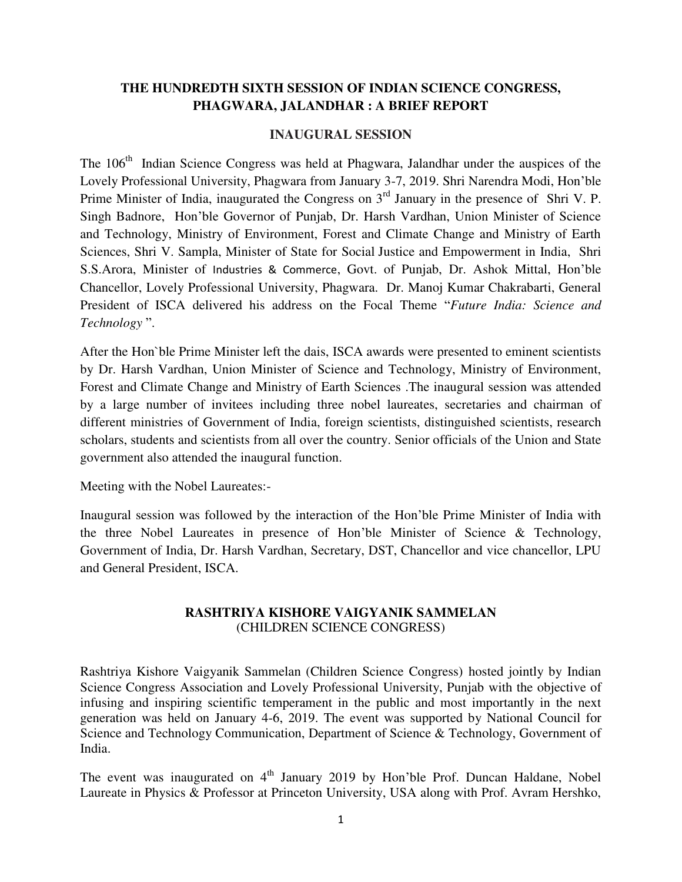# **THE HUNDREDTH SIXTH SESSION OF INDIAN SCIENCE CONGRESS, PHAGWARA, JALANDHAR : A BRIEF REPORT**

#### **INAUGURAL SESSION**

The 106<sup>th</sup> Indian Science Congress was held at Phagwara, Jalandhar under the auspices of the Lovely Professional University, Phagwara from January 3-7, 2019. Shri Narendra Modi, Hon'ble Prime Minister of India, inaugurated the Congress on 3<sup>rd</sup> January in the presence of Shri V. P. Singh Badnore, Hon'ble Governor of Punjab, Dr. Harsh Vardhan, Union Minister of Science and Technology, Ministry of Environment, Forest and Climate Change and Ministry of Earth Sciences, Shri V. Sampla, Minister of State for Social Justice and Empowerment in India, Shri S.S.Arora, Minister of Industries & Commerce, Govt. of Punjab, Dr. Ashok Mittal, Hon'ble Chancellor, Lovely Professional University, Phagwara. Dr. Manoj Kumar Chakrabarti, General President of ISCA delivered his address on the Focal Theme "*Future India: Science and Technology* ".

After the Hon`ble Prime Minister left the dais, ISCA awards were presented to eminent scientists by Dr. Harsh Vardhan, Union Minister of Science and Technology, Ministry of Environment, Forest and Climate Change and Ministry of Earth Sciences .The inaugural session was attended by a large number of invitees including three nobel laureates, secretaries and chairman of different ministries of Government of India, foreign scientists, distinguished scientists, research scholars, students and scientists from all over the country. Senior officials of the Union and State government also attended the inaugural function.

Meeting with the Nobel Laureates:-

Inaugural session was followed by the interaction of the Hon'ble Prime Minister of India with the three Nobel Laureates in presence of Hon'ble Minister of Science & Technology, Government of India, Dr. Harsh Vardhan, Secretary, DST, Chancellor and vice chancellor, LPU and General President, ISCA.

# **RASHTRIYA KISHORE VAIGYANIK SAMMELAN** (CHILDREN SCIENCE CONGRESS)

Rashtriya Kishore Vaigyanik Sammelan (Children Science Congress) hosted jointly by Indian Science Congress Association and Lovely Professional University, Punjab with the objective of infusing and inspiring scientific temperament in the public and most importantly in the next generation was held on January 4-6, 2019. The event was supported by National Council for Science and Technology Communication, Department of Science & Technology, Government of India.

The event was inaugurated on  $4<sup>th</sup>$  January 2019 by Hon'ble Prof. Duncan Haldane, Nobel Laureate in Physics & Professor at Princeton University, USA along with Prof. Avram Hershko,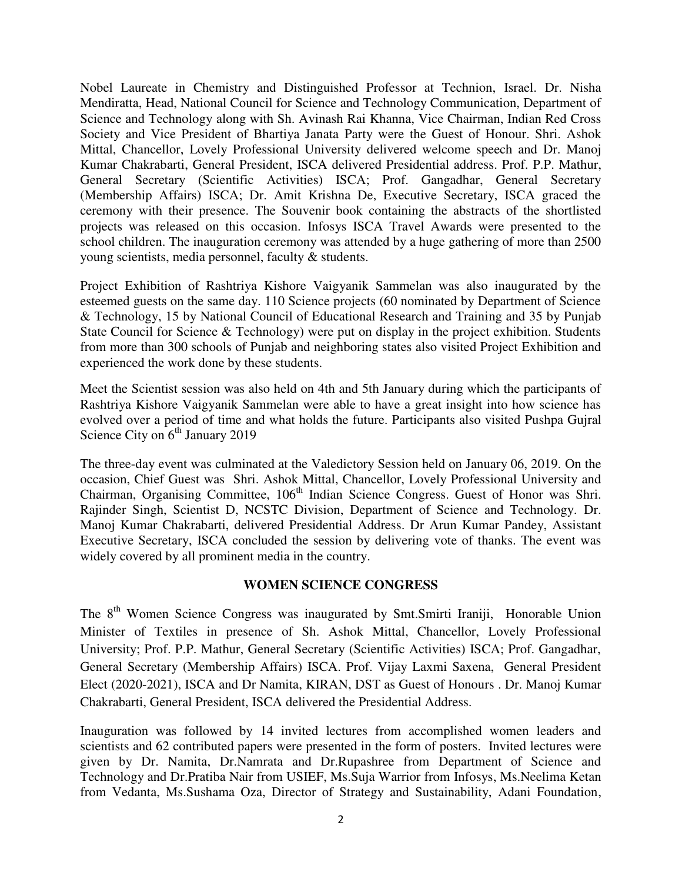Nobel Laureate in Chemistry and Distinguished Professor at Technion, Israel. Dr. Nisha Mendiratta, Head, National Council for Science and Technology Communication, Department of Science and Technology along with Sh. Avinash Rai Khanna, Vice Chairman, Indian Red Cross Society and Vice President of Bhartiya Janata Party were the Guest of Honour. Shri. Ashok Mittal, Chancellor, Lovely Professional University delivered welcome speech and Dr. Manoj Kumar Chakrabarti, General President, ISCA delivered Presidential address. Prof. P.P. Mathur, General Secretary (Scientific Activities) ISCA; Prof. Gangadhar, General Secretary (Membership Affairs) ISCA; Dr. Amit Krishna De, Executive Secretary, ISCA graced the ceremony with their presence. The Souvenir book containing the abstracts of the shortlisted projects was released on this occasion. Infosys ISCA Travel Awards were presented to the school children. The inauguration ceremony was attended by a huge gathering of more than 2500 young scientists, media personnel, faculty & students.

Project Exhibition of Rashtriya Kishore Vaigyanik Sammelan was also inaugurated by the esteemed guests on the same day. 110 Science projects (60 nominated by Department of Science & Technology, 15 by National Council of Educational Research and Training and 35 by Punjab State Council for Science & Technology) were put on display in the project exhibition. Students from more than 300 schools of Punjab and neighboring states also visited Project Exhibition and experienced the work done by these students.

Meet the Scientist session was also held on 4th and 5th January during which the participants of Rashtriya Kishore Vaigyanik Sammelan were able to have a great insight into how science has evolved over a period of time and what holds the future. Participants also visited Pushpa Gujral Science City on 6<sup>th</sup> January 2019

The three-day event was culminated at the Valedictory Session held on January 06, 2019. On the occasion, Chief Guest was Shri. Ashok Mittal, Chancellor, Lovely Professional University and Chairman, Organising Committee, 106<sup>th</sup> Indian Science Congress. Guest of Honor was Shri. Rajinder Singh, Scientist D, NCSTC Division, Department of Science and Technology. Dr. Manoj Kumar Chakrabarti, delivered Presidential Address. Dr Arun Kumar Pandey, Assistant Executive Secretary, ISCA concluded the session by delivering vote of thanks. The event was widely covered by all prominent media in the country.

### **WOMEN SCIENCE CONGRESS**

The 8<sup>th</sup> Women Science Congress was inaugurated by Smt.Smirti Iraniji, Honorable Union Minister of Textiles in presence of Sh. Ashok Mittal, Chancellor, Lovely Professional University; Prof. P.P. Mathur, General Secretary (Scientific Activities) ISCA; Prof. Gangadhar, General Secretary (Membership Affairs) ISCA. Prof. Vijay Laxmi Saxena, General President Elect (2020-2021), ISCA and Dr Namita, KIRAN, DST as Guest of Honours . Dr. Manoj Kumar Chakrabarti, General President, ISCA delivered the Presidential Address.

Inauguration was followed by 14 invited lectures from accomplished women leaders and scientists and 62 contributed papers were presented in the form of posters. Invited lectures were given by Dr. Namita, Dr.Namrata and Dr.Rupashree from Department of Science and Technology and Dr.Pratiba Nair from USIEF, Ms.Suja Warrior from Infosys, Ms.Neelima Ketan from Vedanta, Ms.Sushama Oza, Director of Strategy and Sustainability, Adani Foundation,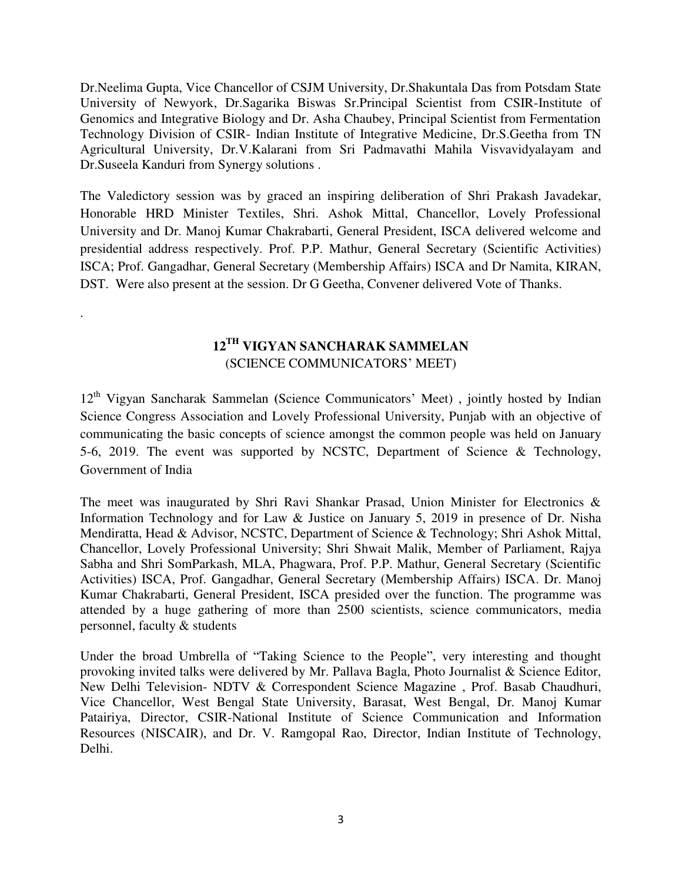Dr.Neelima Gupta, Vice Chancellor of CSJM University, Dr.Shakuntala Das from Potsdam State University of Newyork, Dr.Sagarika Biswas Sr.Principal Scientist from CSIR-Institute of Genomics and Integrative Biology and Dr. Asha Chaubey, Principal Scientist from Fermentation Technology Division of CSIR- Indian Institute of Integrative Medicine, Dr.S.Geetha from TN Agricultural University, Dr.V.Kalarani from Sri Padmavathi Mahila Visvavidyalayam and Dr.Suseela Kanduri from Synergy solutions .

The Valedictory session was by graced an inspiring deliberation of Shri Prakash Javadekar, Honorable HRD Minister Textiles, Shri. Ashok Mittal, Chancellor, Lovely Professional University and Dr. Manoj Kumar Chakrabarti, General President, ISCA delivered welcome and presidential address respectively. Prof. P.P. Mathur, General Secretary (Scientific Activities) ISCA; Prof. Gangadhar, General Secretary (Membership Affairs) ISCA and Dr Namita, KIRAN, DST. Were also present at the session. Dr G Geetha, Convener delivered Vote of Thanks.

# **12TH VIGYAN SANCHARAK SAMMELAN**  (SCIENCE COMMUNICATORS' MEET)

.

12th Vigyan Sancharak Sammelan **(**Science Communicators' Meet) , jointly hosted by Indian Science Congress Association and Lovely Professional University, Punjab with an objective of communicating the basic concepts of science amongst the common people was held on January 5-6, 2019. The event was supported by NCSTC, Department of Science & Technology, Government of India

The meet was inaugurated by Shri Ravi Shankar Prasad, Union Minister for Electronics & Information Technology and for Law & Justice on January 5, 2019 in presence of Dr. Nisha Mendiratta, Head & Advisor, NCSTC, Department of Science & Technology; Shri Ashok Mittal, Chancellor, Lovely Professional University; Shri Shwait Malik, Member of Parliament, Rajya Sabha and Shri SomParkash, MLA, Phagwara, Prof. P.P. Mathur, General Secretary (Scientific Activities) ISCA, Prof. Gangadhar, General Secretary (Membership Affairs) ISCA. Dr. Manoj Kumar Chakrabarti, General President, ISCA presided over the function. The programme was attended by a huge gathering of more than 2500 scientists, science communicators, media personnel, faculty & students

Under the broad Umbrella of "Taking Science to the People", very interesting and thought provoking invited talks were delivered by Mr. Pallava Bagla, Photo Journalist & Science Editor, New Delhi Television- NDTV & Correspondent Science Magazine , Prof. Basab Chaudhuri, Vice Chancellor, West Bengal State University, Barasat, West Bengal, Dr. Manoj Kumar Patairiya, Director, CSIR-National Institute of Science Communication and Information Resources (NISCAIR), and Dr. V. Ramgopal Rao, Director, Indian Institute of Technology, Delhi.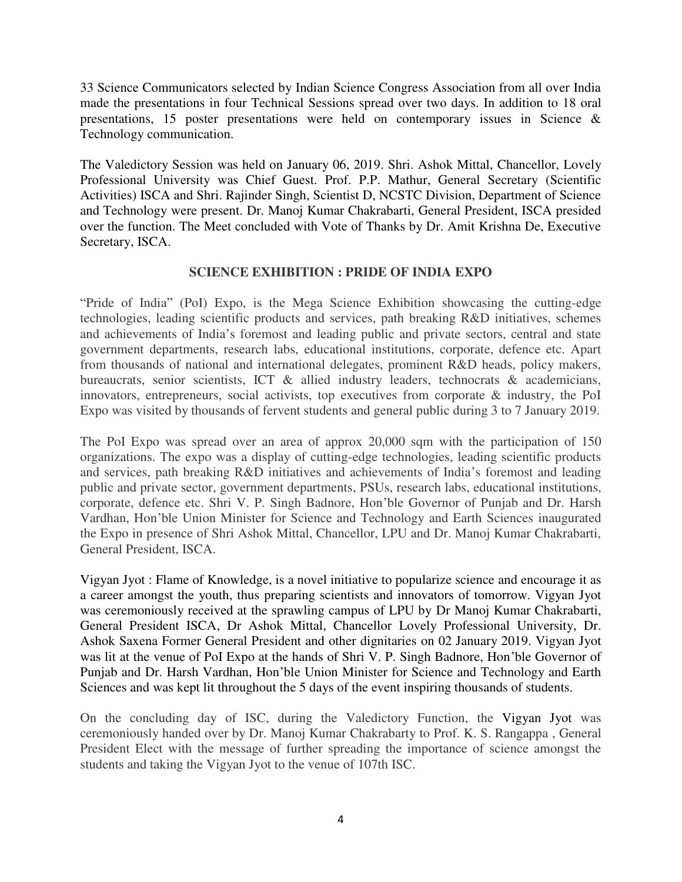33 Science Communicators selected by Indian Science Congress Association from all over India made the presentations in four Technical Sessions spread over two days. In addition to 18 oral presentations, 15 poster presentations were held on contemporary issues in Science & Technology communication.

The Valedictory Session was held on January 06, 2019. Shri. Ashok Mittal, Chancellor, Lovely Professional University was Chief Guest. Prof. P.P. Mathur, General Secretary (Scientific Activities) ISCA and Shri. Rajinder Singh, Scientist D, NCSTC Division, Department of Science and Technology were present. Dr. Manoj Kumar Chakrabarti, General President, ISCA presided over the function. The Meet concluded with Vote of Thanks by Dr. Amit Krishna De, Executive Secretary, ISCA.

### **SCIENCE EXHIBITION : PRIDE OF INDIA EXPO**

"Pride of India" (PoI) Expo, is the Mega Science Exhibition showcasing the cutting-edge technologies, leading scientific products and services, path breaking R&D initiatives, schemes and achievements of India's foremost and leading public and private sectors, central and state government departments, research labs, educational institutions, corporate, defence etc. Apart from thousands of national and international delegates, prominent R&D heads, policy makers, bureaucrats, senior scientists, ICT & allied industry leaders, technocrats & academicians, innovators, entrepreneurs, social activists, top executives from corporate & industry, the PoI Expo was visited by thousands of fervent students and general public during 3 to 7 January 2019.

The PoI Expo was spread over an area of approx 20,000 sqm with the participation of 150 organizations. The expo was a display of cutting-edge technologies, leading scientific products and services, path breaking R&D initiatives and achievements of India's foremost and leading public and private sector, government departments, PSUs, research labs, educational institutions, corporate, defence etc. Shri V. P. Singh Badnore, Hon'ble Governor of Punjab and Dr. Harsh Vardhan, Hon'ble Union Minister for Science and Technology and Earth Sciences inaugurated the Expo in presence of Shri Ashok Mittal, Chancellor, LPU and Dr. Manoj Kumar Chakrabarti, General President, ISCA.

Vigyan Jyot : Flame of Knowledge, is a novel initiative to popularize science and encourage it as a career amongst the youth, thus preparing scientists and innovators of tomorrow. Vigyan Jyot was ceremoniously received at the sprawling campus of LPU by Dr Manoj Kumar Chakrabarti, General President ISCA, Dr Ashok Mittal, Chancellor Lovely Professional University, Dr. Ashok Saxena Former General President and other dignitaries on 02 January 2019. Vigyan Jyot was lit at the venue of PoI Expo at the hands of Shri V. P. Singh Badnore, Hon'ble Governor of Punjab and Dr. Harsh Vardhan, Hon'ble Union Minister for Science and Technology and Earth Sciences and was kept lit throughout the 5 days of the event inspiring thousands of students.

On the concluding day of ISC, during the Valedictory Function, the Vigyan Jyot was ceremoniously handed over by Dr. Manoj Kumar Chakrabarty to Prof. K. S. Rangappa , General President Elect with the message of further spreading the importance of science amongst the students and taking the Vigyan Jyot to the venue of 107th ISC.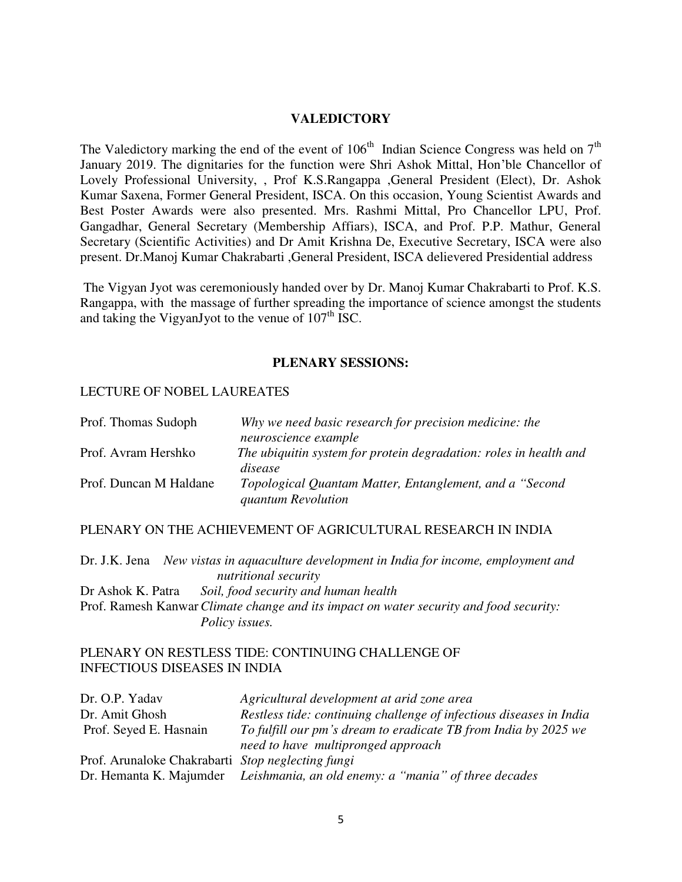#### **VALEDICTORY**

The Valedictory marking the end of the event of  $106<sup>th</sup>$  Indian Science Congress was held on  $7<sup>th</sup>$ January 2019. The dignitaries for the function were Shri Ashok Mittal, Hon'ble Chancellor of Lovely Professional University, , Prof K.S.Rangappa ,General President (Elect), Dr. Ashok Kumar Saxena, Former General President, ISCA. On this occasion, Young Scientist Awards and Best Poster Awards were also presented. Mrs. Rashmi Mittal, Pro Chancellor LPU, Prof. Gangadhar, General Secretary (Membership Affiars), ISCA, and Prof. P.P. Mathur, General Secretary (Scientific Activities) and Dr Amit Krishna De, Executive Secretary, ISCA were also present. Dr.Manoj Kumar Chakrabarti ,General President, ISCA delievered Presidential address

 The Vigyan Jyot was ceremoniously handed over by Dr. Manoj Kumar Chakrabarti to Prof. K.S. Rangappa, with the massage of further spreading the importance of science amongst the students and taking the VigyanJyot to the venue of  $107<sup>th</sup>$  ISC.

#### **PLENARY SESSIONS:**

#### LECTURE OF NOBEL LAUREATES

| Prof. Thomas Sudoph    | Why we need basic research for precision medicine: the                                |
|------------------------|---------------------------------------------------------------------------------------|
|                        | neuroscience example                                                                  |
| Prof. Avram Hershko    | The ubiquitin system for protein degradation: roles in health and<br>disease          |
| Prof. Duncan M Haldane | Topological Quantam Matter, Entanglement, and a "Second"<br><i>guantum Revolution</i> |

#### PLENARY ON THE ACHIEVEMENT OF AGRICULTURAL RESEARCH IN INDIA

Dr. J.K. Jena *New vistas in aquaculture development in India for income, employment and nutritional security* Dr Ashok K. Patra *Soil, food security and human health*  Prof. Ramesh Kanwar *Climate change and its impact on water security and food security: Policy issues.* 

#### PLENARY ON RESTLESS TIDE: CONTINUING CHALLENGE OF INFECTIOUS DISEASES IN INDIA

| Dr. O.P. Yadav                                    | Agricultural development at arid zone area                                   |
|---------------------------------------------------|------------------------------------------------------------------------------|
| Dr. Amit Ghosh                                    | Restless tide: continuing challenge of infectious diseases in India          |
| Prof. Seyed E. Hasnain                            | To fulfill our pm's dream to eradicate TB from India by 2025 we              |
|                                                   | need to have multipronged approach                                           |
| Prof. Arunaloke Chakrabarti Stop neglecting fungi |                                                                              |
|                                                   | Dr. Hemanta K. Majumder Leishmania, an old enemy: a "mania" of three decades |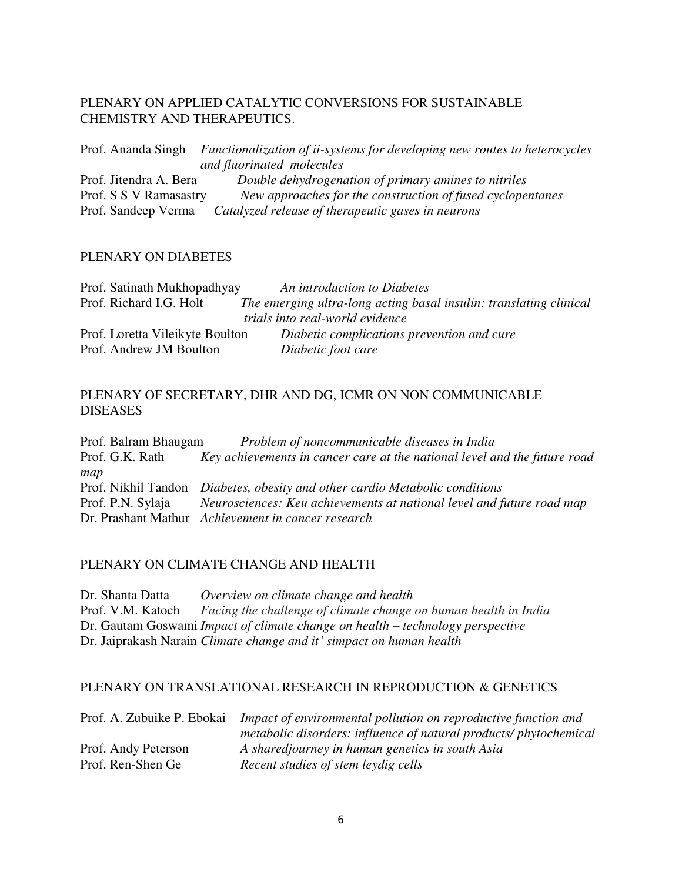### PLENARY ON APPLIED CATALYTIC CONVERSIONS FOR SUSTAINABLE CHEMISTRY AND THERAPEUTICS.

Prof. Ananda Singh *Functionalization of ii-systems for developing new routes to heterocycles and fluorinated molecules* Prof. Jitendra A. Bera *Double dehydrogenation of primary amines to nitriles* Prof. S S V Ramasastry *New approaches for the construction of fused cyclopentanes* Prof. Sandeep Verma *Catalyzed release of therapeutic gases in neurons*

### PLENARY ON DIABETES

| Prof. Satinath Mukhopadhyay     | An introduction to Diabetes                                        |
|---------------------------------|--------------------------------------------------------------------|
| Prof. Richard I.G. Holt         | The emerging ultra-long acting basal insulin: translating clinical |
|                                 | trials into real-world evidence                                    |
| Prof. Loretta Vileikyte Boulton | Diabetic complications prevention and cure                         |
| Prof. Andrew JM Boulton         | Diabetic foot care                                                 |

## PLENARY OF SECRETARY, DHR AND DG, ICMR ON NON COMMUNICABLE DISEASES

Prof. Balram Bhaugam *Problem of noncommunicable diseases in India*  Prof. G.K. Rath *Key achievements in cancer care at the national level and the future road map*  Prof. Nikhil Tandon *Diabetes, obesity and other cardio Metabolic conditions*  Prof. P.N. Sylaja *Neurosciences: Keu achievements at national level and future road map*  Dr. Prashant Mathur *Achievement in cancer research* 

### PLENARY ON CLIMATE CHANGE AND HEALTH

Dr. Shanta Datta *Overview on climate change and health*  Prof. V.M. Katoch *Facing the challenge of climate change on human health in India* Dr. Gautam Goswami *Impact of climate change on health – technology perspective* Dr. Jaiprakash Narain *Climate change and it' simpact on human health*

#### PLENARY ON TRANSLATIONAL RESEARCH IN REPRODUCTION & GENETICS

| Prof. A. Zubuike P. Ebokai | Impact of environmental pollution on reproductive function and    |
|----------------------------|-------------------------------------------------------------------|
|                            | metabolic disorders: influence of natural products/ phytochemical |
| Prof. Andy Peterson        | A sharedjourney in human genetics in south Asia                   |
| Prof. Ren-Shen Ge          | Recent studies of stem leydig cells                               |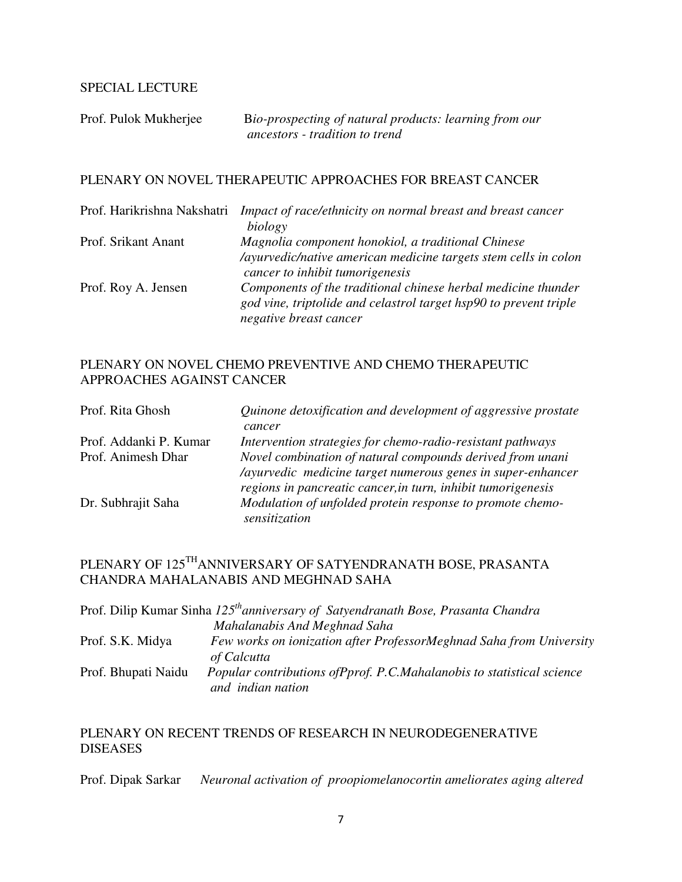## SPECIAL LECTURE

| Prof. Pulok Mukherjee | Bio-prospecting of natural products: learning from our |
|-----------------------|--------------------------------------------------------|
|                       | ancestors - tradition to trend                         |

#### PLENARY ON NOVEL THERAPEUTIC APPROACHES FOR BREAST CANCER

| Prof. Harikrishna Nakshatri | Impact of race/ethnicity on normal breast and breast cancer                                                                        |
|-----------------------------|------------------------------------------------------------------------------------------------------------------------------------|
|                             | biology                                                                                                                            |
| Prof. Srikant Anant         | Magnolia component honokiol, a traditional Chinese                                                                                 |
|                             | /ayurvedic/native american medicine targets stem cells in colon<br>cancer to inhibit tumorigenesis                                 |
| Prof. Roy A. Jensen         | Components of the traditional chinese herbal medicine thunder<br>god vine, triptolide and celastrol target hsp90 to prevent triple |
|                             | negative breast cancer                                                                                                             |

# PLENARY ON NOVEL CHEMO PREVENTIVE AND CHEMO THERAPEUTIC APPROACHES AGAINST CANCER

| Prof. Rita Ghosh       | Quinone detoxification and development of aggressive prostate<br>cancer                                                                    |
|------------------------|--------------------------------------------------------------------------------------------------------------------------------------------|
| Prof. Addanki P. Kumar | Intervention strategies for chemo-radio-resistant pathways                                                                                 |
| Prof. Animesh Dhar     | Novel combination of natural compounds derived from unani<br>/ayurvedic medicine target numerous genes in super-enhancer                   |
| Dr. Subhrajit Saha     | regions in pancreatic cancer, in turn, inhibit tumorigenesis<br>Modulation of unfolded protein response to promote chemo-<br>sensitization |

# PLENARY OF 125THANNIVERSARY OF SATYENDRANATH BOSE, PRASANTA CHANDRA MAHALANABIS AND MEGHNAD SAHA

|                     | Prof. Dilip Kumar Sinha 125 <sup>th</sup> anniversary of Satyendranath Bose, Prasanta Chandra |
|---------------------|-----------------------------------------------------------------------------------------------|
|                     | Mahalanabis And Meghnad Saha                                                                  |
| Prof. S.K. Midya    | Few works on ionization after ProfessorMeghnad Saha from University<br>of Calcutta            |
| Prof. Bhupati Naidu | Popular contributions of Pprof. P.C. Mahalanobis to statistical science<br>and indian nation  |

# PLENARY ON RECENT TRENDS OF RESEARCH IN NEURODEGENERATIVE DISEASES

Prof. Dipak Sarkar *Neuronal activation of proopiomelanocortin ameliorates aging altered*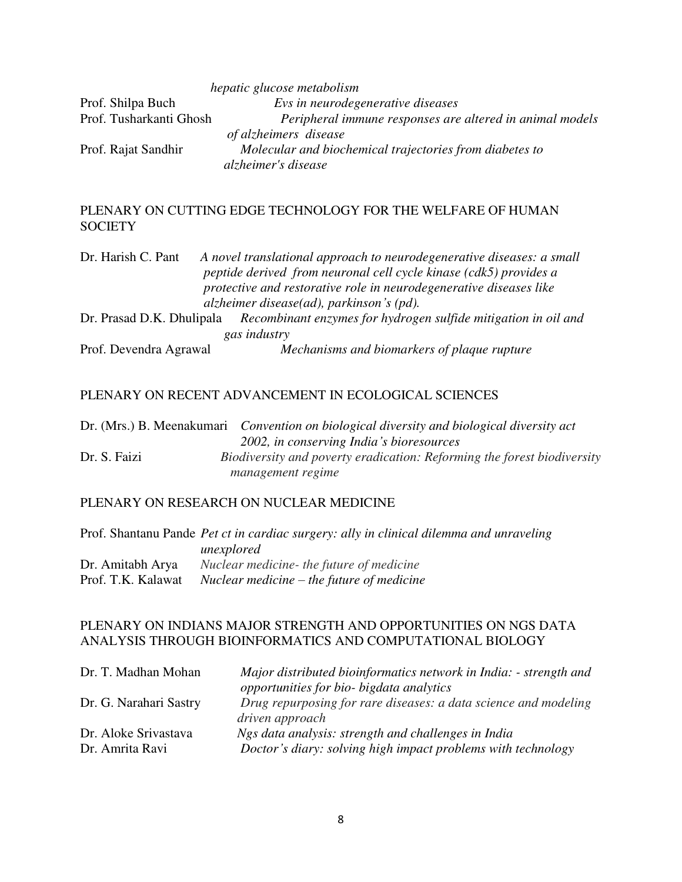|                         | hepatic glucose metabolism                               |
|-------------------------|----------------------------------------------------------|
| Prof. Shilpa Buch       | Evs in neurodegenerative diseases                        |
| Prof. Tusharkanti Ghosh | Peripheral immune responses are altered in animal models |
|                         | of alzheimers disease                                    |
| Prof. Rajat Sandhir     | Molecular and biochemical trajectories from diabetes to  |
|                         | alzheimer's disease                                      |

# PLENARY ON CUTTING EDGE TECHNOLOGY FOR THE WELFARE OF HUMAN **SOCIETY**

| Dr. Harish C. Pant | A novel translational approach to neurodegenerative diseases: a small                    |  |
|--------------------|------------------------------------------------------------------------------------------|--|
|                    | peptide derived from neuronal cell cycle kinase (cdk5) provides a                        |  |
|                    | protective and restorative role in neurodegenerative diseases like                       |  |
|                    | alzheimer disease $(ad)$ , parkinson's $(pd)$ .                                          |  |
|                    | Dr. Prasad D.K. Dhulipala Recombinant enzymes for hydrogen sulfide mitigation in oil and |  |
|                    | gas industry                                                                             |  |

Prof. Devendra Agrawal *Mechanisms and biomarkers of plaque rupture*

# PLENARY ON RECENT ADVANCEMENT IN ECOLOGICAL SCIENCES

|              | Dr. (Mrs.) B. Meenakumari <i>Convention on biological diversity and biological diversity act</i> |
|--------------|--------------------------------------------------------------------------------------------------|
|              | 2002, in conserving India's bioresources                                                         |
| Dr. S. Faizi | Biodiversity and poverty eradication: Reforming the forest biodiversity                          |
|              | <i>management regime</i>                                                                         |

### PLENARY ON RESEARCH ON NUCLEAR MEDICINE

|                    | Prof. Shantanu Pande <i>Pet ct in cardiac surgery: ally in clinical dilemma and unraveling</i> |
|--------------------|------------------------------------------------------------------------------------------------|
|                    | unexplored                                                                                     |
| Dr. Amitabh Arya   | Nuclear medicine- the future of medicine                                                       |
| Prof. T.K. Kalawat | Nuclear medicine – the future of medicine                                                      |

# PLENARY ON INDIANS MAJOR STRENGTH AND OPPORTUNITIES ON NGS DATA ANALYSIS THROUGH BIOINFORMATICS AND COMPUTATIONAL BIOLOGY

| Dr. T. Madhan Mohan                     | Major distributed bioinformatics network in India: - strength and                                                   |
|-----------------------------------------|---------------------------------------------------------------------------------------------------------------------|
|                                         | opportunities for bio- bigdata analytics                                                                            |
| Dr. G. Narahari Sastry                  | Drug repurposing for rare diseases: a data science and modeling<br>driven approach                                  |
| Dr. Aloke Srivastava<br>Dr. Amrita Ravi | Ngs data analysis: strength and challenges in India<br>Doctor's diary: solving high impact problems with technology |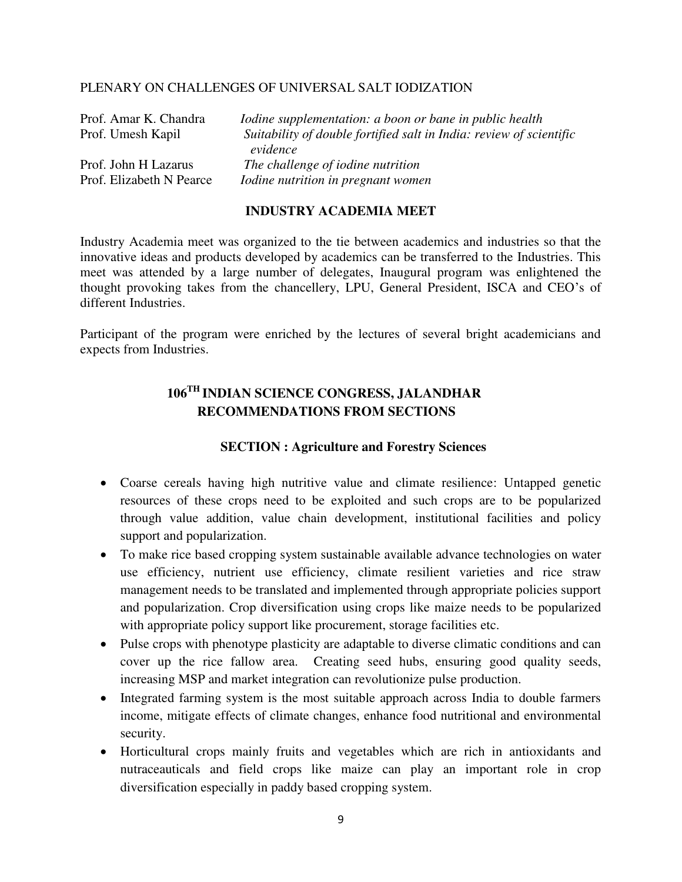#### PLENARY ON CHALLENGES OF UNIVERSAL SALT IODIZATION

| Prof. Amar K. Chandra    | <i>Iodine supplementation: a boon or bane in public health</i>      |
|--------------------------|---------------------------------------------------------------------|
| Prof. Umesh Kapil        | Suitability of double fortified salt in India: review of scientific |
|                          | evidence                                                            |
| Prof. John H Lazarus     | The challenge of iodine nutrition                                   |
| Prof. Elizabeth N Pearce | Iodine nutrition in pregnant women                                  |

## **INDUSTRY ACADEMIA MEET**

Industry Academia meet was organized to the tie between academics and industries so that the innovative ideas and products developed by academics can be transferred to the Industries. This meet was attended by a large number of delegates, Inaugural program was enlightened the thought provoking takes from the chancellery, LPU, General President, ISCA and CEO's of different Industries.

Participant of the program were enriched by the lectures of several bright academicians and expects from Industries.

# **106TH INDIAN SCIENCE CONGRESS, JALANDHAR RECOMMENDATIONS FROM SECTIONS**

### **SECTION : Agriculture and Forestry Sciences**

- Coarse cereals having high nutritive value and climate resilience: Untapped genetic resources of these crops need to be exploited and such crops are to be popularized through value addition, value chain development, institutional facilities and policy support and popularization.
- To make rice based cropping system sustainable available advance technologies on water use efficiency, nutrient use efficiency, climate resilient varieties and rice straw management needs to be translated and implemented through appropriate policies support and popularization. Crop diversification using crops like maize needs to be popularized with appropriate policy support like procurement, storage facilities etc.
- Pulse crops with phenotype plasticity are adaptable to diverse climatic conditions and can cover up the rice fallow area. Creating seed hubs, ensuring good quality seeds, increasing MSP and market integration can revolutionize pulse production.
- Integrated farming system is the most suitable approach across India to double farmers income, mitigate effects of climate changes, enhance food nutritional and environmental security.
- Horticultural crops mainly fruits and vegetables which are rich in antioxidants and nutraceauticals and field crops like maize can play an important role in crop diversification especially in paddy based cropping system.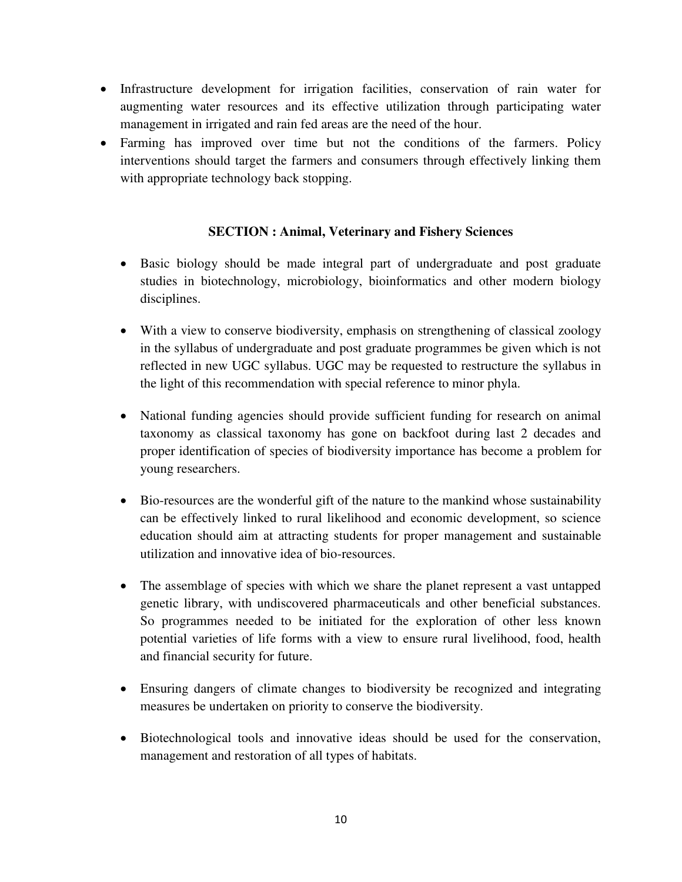- Infrastructure development for irrigation facilities, conservation of rain water for augmenting water resources and its effective utilization through participating water management in irrigated and rain fed areas are the need of the hour.
- Farming has improved over time but not the conditions of the farmers. Policy interventions should target the farmers and consumers through effectively linking them with appropriate technology back stopping.

# **SECTION : Animal, Veterinary and Fishery Sciences**

- Basic biology should be made integral part of undergraduate and post graduate studies in biotechnology, microbiology, bioinformatics and other modern biology disciplines.
- With a view to conserve biodiversity, emphasis on strengthening of classical zoology in the syllabus of undergraduate and post graduate programmes be given which is not reflected in new UGC syllabus. UGC may be requested to restructure the syllabus in the light of this recommendation with special reference to minor phyla.
- National funding agencies should provide sufficient funding for research on animal taxonomy as classical taxonomy has gone on backfoot during last 2 decades and proper identification of species of biodiversity importance has become a problem for young researchers.
- Bio-resources are the wonderful gift of the nature to the mankind whose sustainability can be effectively linked to rural likelihood and economic development, so science education should aim at attracting students for proper management and sustainable utilization and innovative idea of bio-resources.
- The assemblage of species with which we share the planet represent a vast untapped genetic library, with undiscovered pharmaceuticals and other beneficial substances. So programmes needed to be initiated for the exploration of other less known potential varieties of life forms with a view to ensure rural livelihood, food, health and financial security for future.
- Ensuring dangers of climate changes to biodiversity be recognized and integrating measures be undertaken on priority to conserve the biodiversity.
- Biotechnological tools and innovative ideas should be used for the conservation, management and restoration of all types of habitats.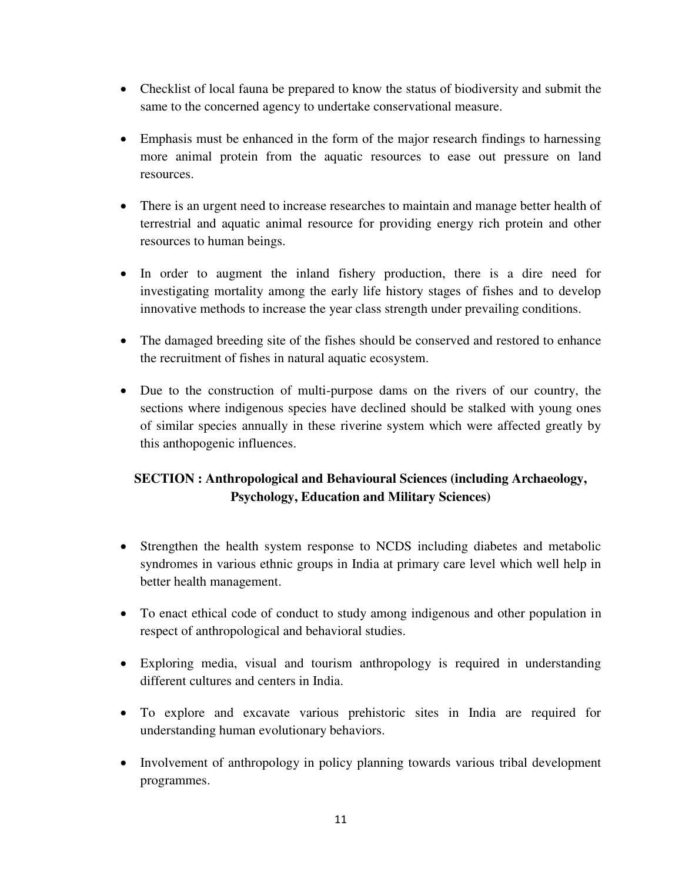- Checklist of local fauna be prepared to know the status of biodiversity and submit the same to the concerned agency to undertake conservational measure.
- Emphasis must be enhanced in the form of the major research findings to harnessing more animal protein from the aquatic resources to ease out pressure on land resources.
- There is an urgent need to increase researches to maintain and manage better health of terrestrial and aquatic animal resource for providing energy rich protein and other resources to human beings.
- In order to augment the inland fishery production, there is a dire need for investigating mortality among the early life history stages of fishes and to develop innovative methods to increase the year class strength under prevailing conditions.
- The damaged breeding site of the fishes should be conserved and restored to enhance the recruitment of fishes in natural aquatic ecosystem.
- Due to the construction of multi-purpose dams on the rivers of our country, the sections where indigenous species have declined should be stalked with young ones of similar species annually in these riverine system which were affected greatly by this anthopogenic influences.

# **SECTION : Anthropological and Behavioural Sciences (including Archaeology, Psychology, Education and Military Sciences)**

- Strengthen the health system response to NCDS including diabetes and metabolic syndromes in various ethnic groups in India at primary care level which well help in better health management.
- To enact ethical code of conduct to study among indigenous and other population in respect of anthropological and behavioral studies.
- Exploring media, visual and tourism anthropology is required in understanding different cultures and centers in India.
- To explore and excavate various prehistoric sites in India are required for understanding human evolutionary behaviors.
- Involvement of anthropology in policy planning towards various tribal development programmes.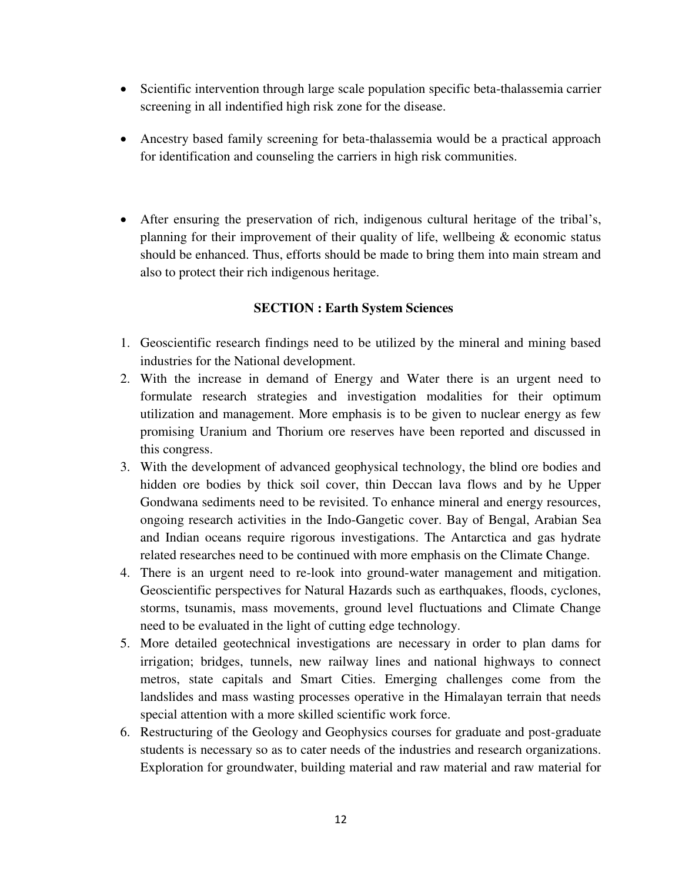- Scientific intervention through large scale population specific beta-thalassemia carrier screening in all indentified high risk zone for the disease.
- Ancestry based family screening for beta-thalassemia would be a practical approach for identification and counseling the carriers in high risk communities.
- After ensuring the preservation of rich, indigenous cultural heritage of the tribal's, planning for their improvement of their quality of life, wellbeing & economic status should be enhanced. Thus, efforts should be made to bring them into main stream and also to protect their rich indigenous heritage.

# **SECTION : Earth System Sciences**

- 1. Geoscientific research findings need to be utilized by the mineral and mining based industries for the National development.
- 2. With the increase in demand of Energy and Water there is an urgent need to formulate research strategies and investigation modalities for their optimum utilization and management. More emphasis is to be given to nuclear energy as few promising Uranium and Thorium ore reserves have been reported and discussed in this congress.
- 3. With the development of advanced geophysical technology, the blind ore bodies and hidden ore bodies by thick soil cover, thin Deccan lava flows and by he Upper Gondwana sediments need to be revisited. To enhance mineral and energy resources, ongoing research activities in the Indo-Gangetic cover. Bay of Bengal, Arabian Sea and Indian oceans require rigorous investigations. The Antarctica and gas hydrate related researches need to be continued with more emphasis on the Climate Change.
- 4. There is an urgent need to re-look into ground-water management and mitigation. Geoscientific perspectives for Natural Hazards such as earthquakes, floods, cyclones, storms, tsunamis, mass movements, ground level fluctuations and Climate Change need to be evaluated in the light of cutting edge technology.
- 5. More detailed geotechnical investigations are necessary in order to plan dams for irrigation; bridges, tunnels, new railway lines and national highways to connect metros, state capitals and Smart Cities. Emerging challenges come from the landslides and mass wasting processes operative in the Himalayan terrain that needs special attention with a more skilled scientific work force.
- 6. Restructuring of the Geology and Geophysics courses for graduate and post-graduate students is necessary so as to cater needs of the industries and research organizations. Exploration for groundwater, building material and raw material and raw material for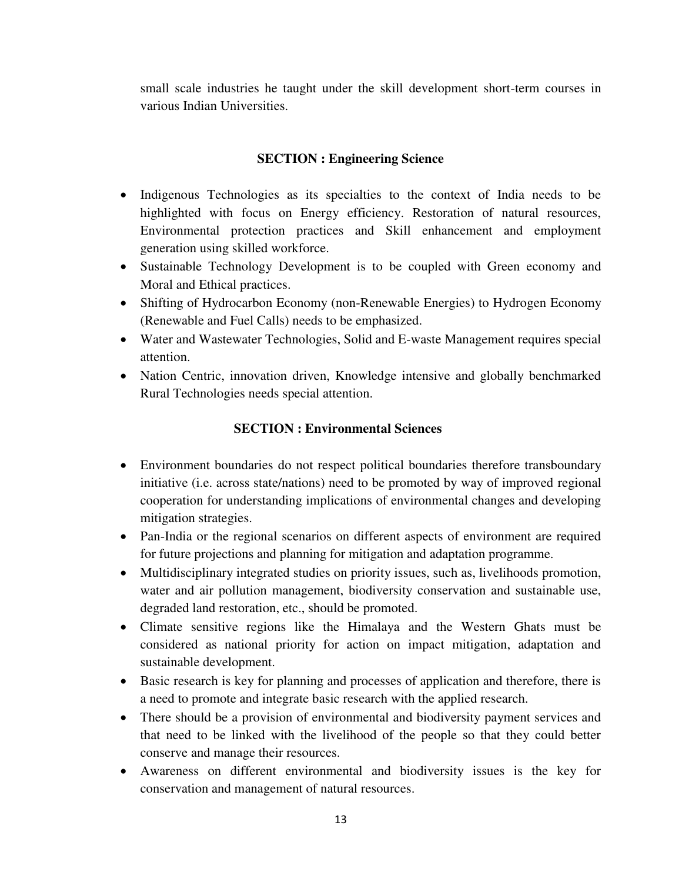small scale industries he taught under the skill development short-term courses in various Indian Universities.

# **SECTION : Engineering Science**

- Indigenous Technologies as its specialties to the context of India needs to be highlighted with focus on Energy efficiency. Restoration of natural resources, Environmental protection practices and Skill enhancement and employment generation using skilled workforce.
- Sustainable Technology Development is to be coupled with Green economy and Moral and Ethical practices.
- Shifting of Hydrocarbon Economy (non-Renewable Energies) to Hydrogen Economy (Renewable and Fuel Calls) needs to be emphasized.
- Water and Wastewater Technologies, Solid and E-waste Management requires special attention.
- Nation Centric, innovation driven, Knowledge intensive and globally benchmarked Rural Technologies needs special attention.

# **SECTION : Environmental Sciences**

- Environment boundaries do not respect political boundaries therefore transboundary initiative (i.e. across state/nations) need to be promoted by way of improved regional cooperation for understanding implications of environmental changes and developing mitigation strategies.
- Pan-India or the regional scenarios on different aspects of environment are required for future projections and planning for mitigation and adaptation programme.
- Multidisciplinary integrated studies on priority issues, such as, livelihoods promotion, water and air pollution management, biodiversity conservation and sustainable use, degraded land restoration, etc., should be promoted.
- Climate sensitive regions like the Himalaya and the Western Ghats must be considered as national priority for action on impact mitigation, adaptation and sustainable development.
- Basic research is key for planning and processes of application and therefore, there is a need to promote and integrate basic research with the applied research.
- There should be a provision of environmental and biodiversity payment services and that need to be linked with the livelihood of the people so that they could better conserve and manage their resources.
- Awareness on different environmental and biodiversity issues is the key for conservation and management of natural resources.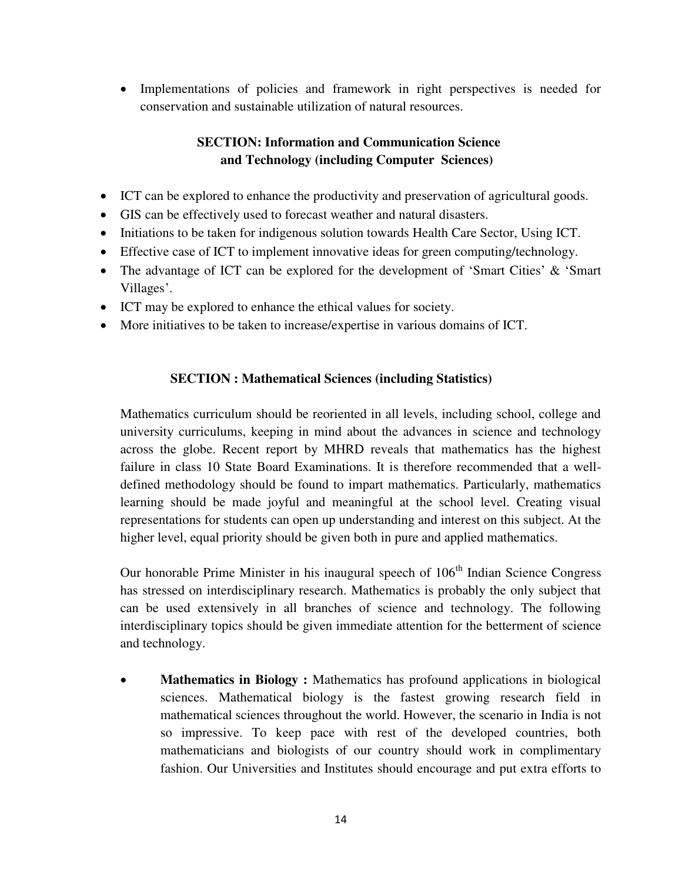• Implementations of policies and framework in right perspectives is needed for conservation and sustainable utilization of natural resources.

# **SECTION: Information and Communication Science and Technology (including Computer Sciences)**

- ICT can be explored to enhance the productivity and preservation of agricultural goods.
- GIS can be effectively used to forecast weather and natural disasters.
- Initiations to be taken for indigenous solution towards Health Care Sector, Using ICT.
- Effective case of ICT to implement innovative ideas for green computing/technology.
- The advantage of ICT can be explored for the development of 'Smart Cities' & 'Smart Villages'.
- ICT may be explored to enhance the ethical values for society.
- More initiatives to be taken to increase/expertise in various domains of ICT.

# **SECTION : Mathematical Sciences (including Statistics)**

Mathematics curriculum should be reoriented in all levels, including school, college and university curriculums, keeping in mind about the advances in science and technology across the globe. Recent report by MHRD reveals that mathematics has the highest failure in class 10 State Board Examinations. It is therefore recommended that a welldefined methodology should be found to impart mathematics. Particularly, mathematics learning should be made joyful and meaningful at the school level. Creating visual representations for students can open up understanding and interest on this subject. At the higher level, equal priority should be given both in pure and applied mathematics.

Our honorable Prime Minister in his inaugural speech of  $106<sup>th</sup>$  Indian Science Congress has stressed on interdisciplinary research. Mathematics is probably the only subject that can be used extensively in all branches of science and technology. The following interdisciplinary topics should be given immediate attention for the betterment of science and technology.

 **Mathematics in Biology :** Mathematics has profound applications in biological sciences. Mathematical biology is the fastest growing research field in mathematical sciences throughout the world. However, the scenario in India is not so impressive. To keep pace with rest of the developed countries, both mathematicians and biologists of our country should work in complimentary fashion. Our Universities and Institutes should encourage and put extra efforts to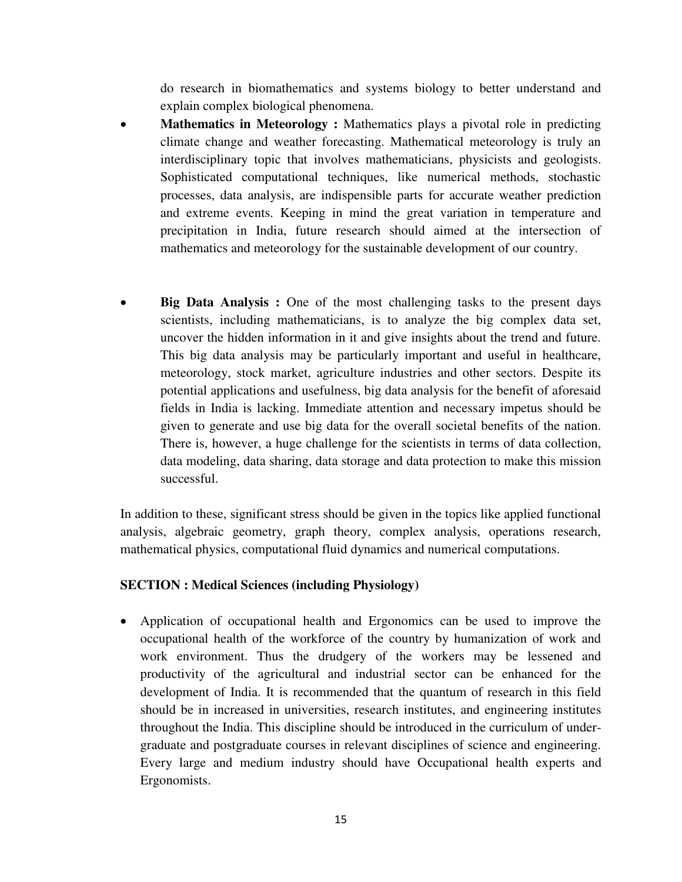do research in biomathematics and systems biology to better understand and explain complex biological phenomena.

- **Mathematics in Meteorology :** Mathematics plays a pivotal role in predicting climate change and weather forecasting. Mathematical meteorology is truly an interdisciplinary topic that involves mathematicians, physicists and geologists. Sophisticated computational techniques, like numerical methods, stochastic processes, data analysis, are indispensible parts for accurate weather prediction and extreme events. Keeping in mind the great variation in temperature and precipitation in India, future research should aimed at the intersection of mathematics and meteorology for the sustainable development of our country.
- **Big Data Analysis :** One of the most challenging tasks to the present days scientists, including mathematicians, is to analyze the big complex data set, uncover the hidden information in it and give insights about the trend and future. This big data analysis may be particularly important and useful in healthcare, meteorology, stock market, agriculture industries and other sectors. Despite its potential applications and usefulness, big data analysis for the benefit of aforesaid fields in India is lacking. Immediate attention and necessary impetus should be given to generate and use big data for the overall societal benefits of the nation. There is, however, a huge challenge for the scientists in terms of data collection, data modeling, data sharing, data storage and data protection to make this mission successful.

In addition to these, significant stress should be given in the topics like applied functional analysis, algebraic geometry, graph theory, complex analysis, operations research, mathematical physics, computational fluid dynamics and numerical computations.

# **SECTION : Medical Sciences (including Physiology)**

 Application of occupational health and Ergonomics can be used to improve the occupational health of the workforce of the country by humanization of work and work environment. Thus the drudgery of the workers may be lessened and productivity of the agricultural and industrial sector can be enhanced for the development of India. It is recommended that the quantum of research in this field should be in increased in universities, research institutes, and engineering institutes throughout the India. This discipline should be introduced in the curriculum of undergraduate and postgraduate courses in relevant disciplines of science and engineering. Every large and medium industry should have Occupational health experts and Ergonomists.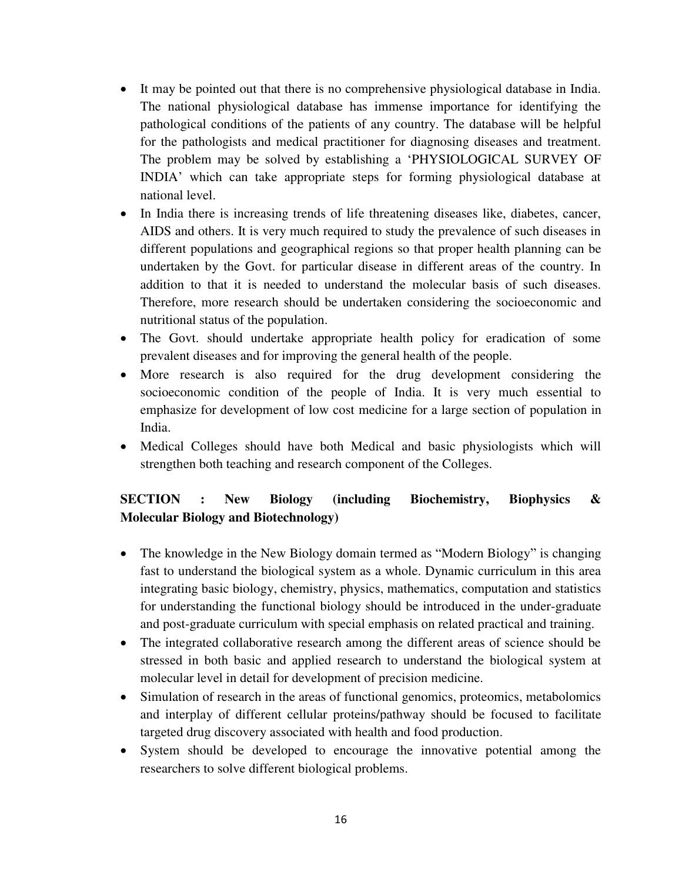- It may be pointed out that there is no comprehensive physiological database in India. The national physiological database has immense importance for identifying the pathological conditions of the patients of any country. The database will be helpful for the pathologists and medical practitioner for diagnosing diseases and treatment. The problem may be solved by establishing a 'PHYSIOLOGICAL SURVEY OF INDIA' which can take appropriate steps for forming physiological database at national level.
- In India there is increasing trends of life threatening diseases like, diabetes, cancer, AIDS and others. It is very much required to study the prevalence of such diseases in different populations and geographical regions so that proper health planning can be undertaken by the Govt. for particular disease in different areas of the country. In addition to that it is needed to understand the molecular basis of such diseases. Therefore, more research should be undertaken considering the socioeconomic and nutritional status of the population.
- The Govt. should undertake appropriate health policy for eradication of some prevalent diseases and for improving the general health of the people.
- More research is also required for the drug development considering the socioeconomic condition of the people of India. It is very much essential to emphasize for development of low cost medicine for a large section of population in India.
- Medical Colleges should have both Medical and basic physiologists which will strengthen both teaching and research component of the Colleges.

# **SECTION : New Biology (including Biochemistry, Biophysics & Molecular Biology and Biotechnology)**

- The knowledge in the New Biology domain termed as "Modern Biology" is changing fast to understand the biological system as a whole. Dynamic curriculum in this area integrating basic biology, chemistry, physics, mathematics, computation and statistics for understanding the functional biology should be introduced in the under-graduate and post-graduate curriculum with special emphasis on related practical and training.
- The integrated collaborative research among the different areas of science should be stressed in both basic and applied research to understand the biological system at molecular level in detail for development of precision medicine.
- Simulation of research in the areas of functional genomics, proteomics, metabolomics and interplay of different cellular proteins/pathway should be focused to facilitate targeted drug discovery associated with health and food production.
- System should be developed to encourage the innovative potential among the researchers to solve different biological problems.